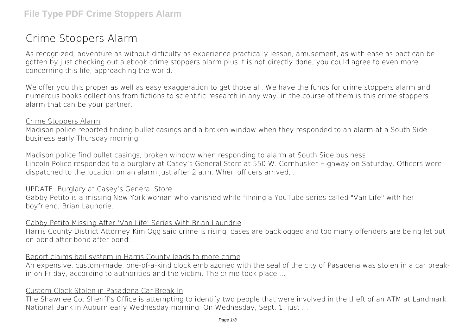# **Crime Stoppers Alarm**

As recognized, adventure as without difficulty as experience practically lesson, amusement, as with ease as pact can be gotten by just checking out a ebook **crime stoppers alarm** plus it is not directly done, you could agree to even more concerning this life, approaching the world.

We offer you this proper as well as easy exaggeration to get those all. We have the funds for crime stoppers alarm and numerous books collections from fictions to scientific research in any way. in the course of them is this crime stoppers alarm that can be your partner.

#### Crime Stoppers Alarm

Madison police reported finding bullet casings and a broken window when they responded to an alarm at a South Side business early Thursday morning.

Madison police find bullet casings, broken window when responding to alarm at South Side business Lincoln Police responded to a burglary at Casey's General Store at 550 W. Cornhusker Highway on Saturday. Officers were dispatched to the location on an alarm just after 2 a.m. When officers arrived, ...

#### UPDATE: Burglary at Casey's General Store

Gabby Petito is a missing New York woman who vanished while filming a YouTube series called "Van Life" with her boyfriend, Brian Laundrie.

#### Gabby Petito Missing After 'Van Life' Series With Brian Laundrie

Harris County District Attorney Kim Ogg said crime is rising, cases are backlogged and too many offenders are being let out on bond after bond after bond.

#### Report claims bail system in Harris County leads to more crime

An expensive, custom-made, one-of-a-kind clock emblazoned with the seal of the city of Pasadena was stolen in a car breakin on Friday, according to authorities and the victim. The crime took place ...

#### Custom Clock Stolen in Pasadena Car Break-In

The Shawnee Co. Sheriff's Office is attempting to identify two people that were involved in the theft of an ATM at Landmark National Bank in Auburn early Wednesday morning. On Wednesday, Sept. 1, just ...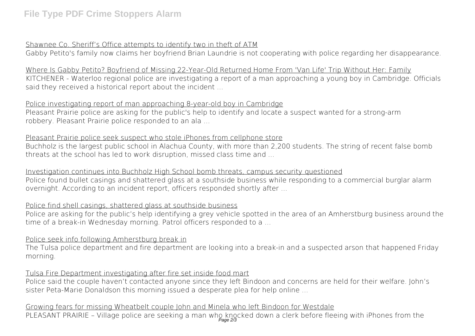# Shawnee Co. Sheriff's Office attempts to identify two in theft of ATM

Gabby Petito's family now claims her boyfriend Brian Laundrie is not cooperating with police regarding her disappearance.

Where Is Gabby Petito? Boyfriend of Missing 22-Year-Old Returned Home From 'Van Life' Trip Without Her: Family KITCHENER - Waterloo regional police are investigating a report of a man approaching a young boy in Cambridge. Officials said they received a historical report about the incident ...

# Police investigating report of man approaching 8-year-old boy in Cambridge

Pleasant Prairie police are asking for the public's help to identify and locate a suspect wanted for a strong-arm robbery. Pleasant Prairie police responded to an ala ...

#### Pleasant Prairie police seek suspect who stole iPhones from cellphone store

Buchholz is the largest public school in Alachua County, with more than 2,200 students. The string of recent false bomb threats at the school has led to work disruption, missed class time and ...

# Investigation continues into Buchholz High School bomb threats, campus security questioned

Police found bullet casings and shattered glass at a southside business while responding to a commercial burglar alarm overnight. According to an incident report, officers responded shortly after ...

# Police find shell casings, shattered glass at southside business

Police are asking for the public's help identifying a grey vehicle spotted in the area of an Amherstburg business around the time of a break-in Wednesday morning. Patrol officers responded to a ...

# Police seek info following Amherstburg break in

The Tulsa police department and fire department are looking into a break-in and a suspected arson that happened Friday morning.

# Tulsa Fire Department investigating after fire set inside food mart

Police said the couple haven't contacted anyone since they left Bindoon and concerns are held for their welfare. John's sister Peta-Marie Donaldson this morning issued a desperate plea for help online ...

# Growing fears for missing Wheatbelt couple John and Minela who left Bindoon for Westdale

PLEASANT PRAIRIE – Village police are seeking a man who knocked down a clerk before fleeing with iPhones from the